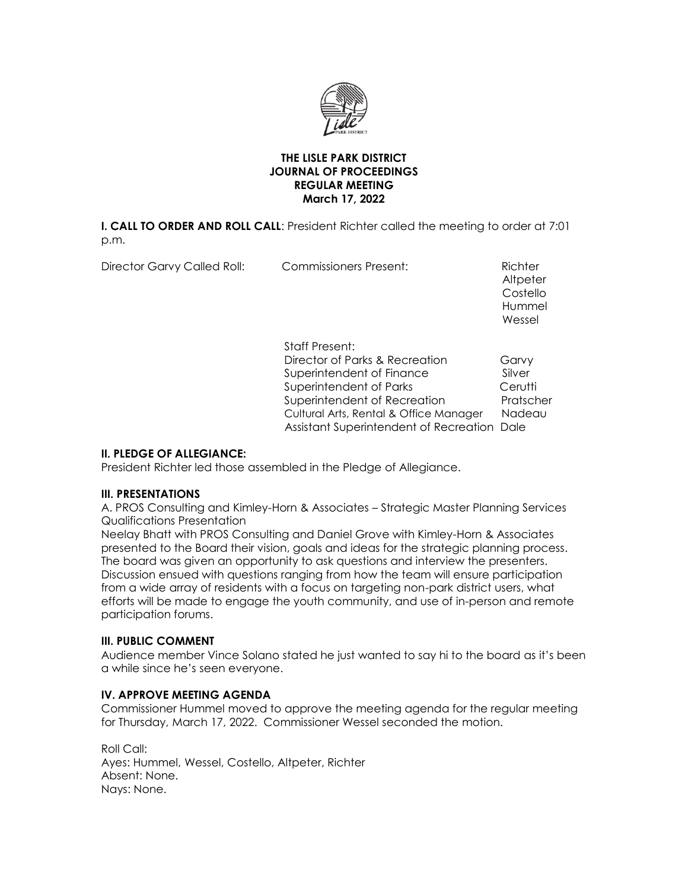

# **THE LISLE PARK DISTRICT JOURNAL OF PROCEEDINGS REGULAR MEETING March 17, 2022**

**I. CALL TO ORDER AND ROLL CALL**: President Richter called the meeting to order at 7:01 p.m.

Director Garvy Called Roll: Commissioners Present: Richter

**Altpeter**  Costello Hummel and the control of the control of the control of the control of the control of the control of the control of the control of the control of the control of the control of the control of the control of the control of t Wessel

> Staff Present: Director of Parks & Recreation Garvy Superintendent of Finance Silver Superintendent of Parks **Cerutti** Superintendent of Recreation Pratscher Cultural Arts, Rental & Office Manager Nadeau Assistant Superintendent of Recreation Dale

# **II. PLEDGE OF ALLEGIANCE:**

President Richter led those assembled in the Pledge of Allegiance.

# **III. PRESENTATIONS**

A. PROS Consulting and Kimley-Horn & Associates – Strategic Master Planning Services Qualifications Presentation

Neelay Bhatt with PROS Consulting and Daniel Grove with Kimley-Horn & Associates presented to the Board their vision, goals and ideas for the strategic planning process. The board was given an opportunity to ask questions and interview the presenters. Discussion ensued with questions ranging from how the team will ensure participation from a wide array of residents with a focus on targeting non-park district users, what efforts will be made to engage the youth community, and use of in-person and remote participation forums.

# **III. PUBLIC COMMENT**

Audience member Vince Solano stated he just wanted to say hi to the board as it's been a while since he's seen everyone.

# **IV. APPROVE MEETING AGENDA**

Commissioner Hummel moved to approve the meeting agenda for the regular meeting for Thursday, March 17, 2022. Commissioner Wessel seconded the motion.

Roll Call: Ayes: Hummel, Wessel, Costello, Altpeter, Richter Absent: None. Nays: None.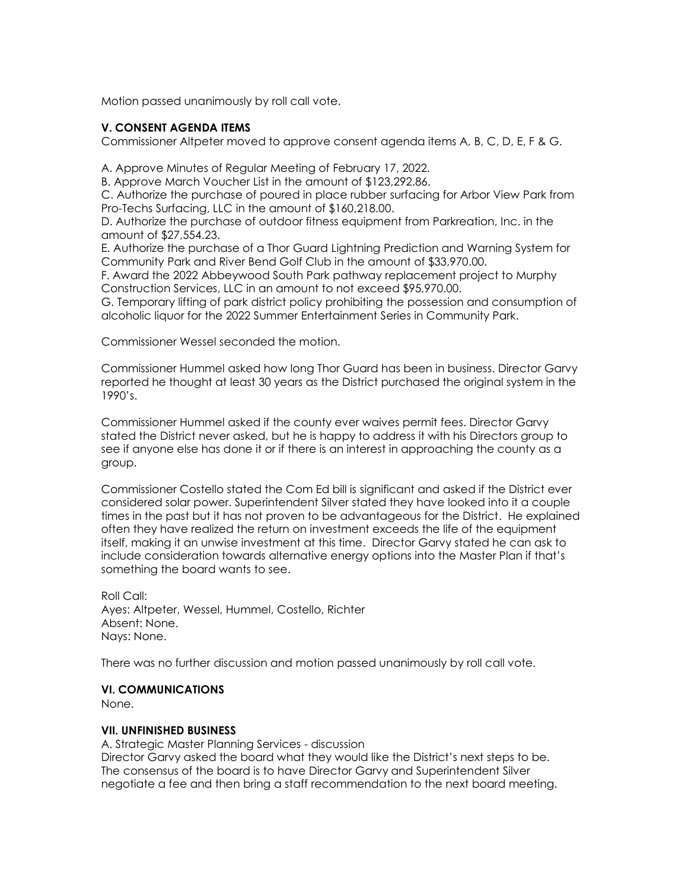Motion passed unanimously by roll call vote.

# **V. CONSENT AGENDA ITEMS**

Commissioner Altpeter moved to approve consent agenda items A, B, C, D, E, F & G.

A. Approve Minutes of Regular Meeting of February 17, 2022.

B. Approve March Voucher List in the amount of \$123,292.86.

C. Authorize the purchase of poured in place rubber surfacing for Arbor View Park from Pro-Techs Surfacing, LLC in the amount of \$160,218.00.

D. Authorize the purchase of outdoor fitness equipment from Parkreation, Inc. in the amount of \$27,554.23.

E. Authorize the purchase of a Thor Guard Lightning Prediction and Warning System for Community Park and River Bend Golf Club in the amount of \$33,970.00.

F. Award the 2022 Abbeywood South Park pathway replacement project to Murphy Construction Services, LLC in an amount to not exceed \$95,970.00.

G. Temporary lifting of park district policy prohibiting the possession and consumption of alcoholic liquor for the 2022 Summer Entertainment Series in Community Park.

Commissioner Wessel seconded the motion.

Commissioner Hummel asked how long Thor Guard has been in business. Director Garvy reported he thought at least 30 years as the District purchased the original system in the 1990's.

Commissioner Hummel asked if the county ever waives permit fees. Director Garvy stated the District never asked, but he is happy to address it with his Directors group to see if anyone else has done it or if there is an interest in approaching the county as a group.

Commissioner Costello stated the Com Ed bill is significant and asked if the District ever considered solar power. Superintendent Silver stated they have looked into it a couple times in the past but it has not proven to be advantageous for the District. He explained often they have realized the return on investment exceeds the life of the equipment itself, making it an unwise investment at this time. Director Garvy stated he can ask to include consideration towards alternative energy options into the Master Plan if that's something the board wants to see.

Roll Call: Ayes: Altpeter, Wessel, Hummel, Costello, Richter Absent: None. Nays: None.

There was no further discussion and motion passed unanimously by roll call vote.

#### **VI. COMMUNICATIONS**

None.

# **VII. UNFINISHED BUSINESS**

A. Strategic Master Planning Services - discussion Director Garvy asked the board what they would like the District's next steps to be. The consensus of the board is to have Director Garvy and Superintendent Silver negotiate a fee and then bring a staff recommendation to the next board meeting.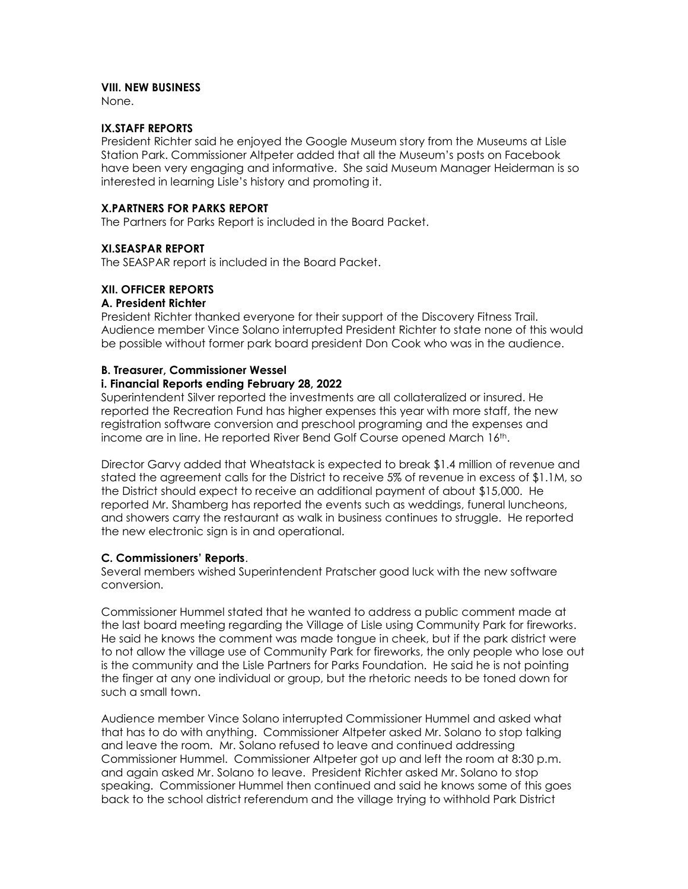### **VIII. NEW BUSINESS**

None.

#### **IX.STAFF REPORTS**

President Richter said he enjoyed the Google Museum story from the Museums at Lisle Station Park. Commissioner Altpeter added that all the Museum's posts on Facebook have been very engaging and informative. She said Museum Manager Heiderman is so interested in learning Lisle's history and promoting it.

### **X.PARTNERS FOR PARKS REPORT**

The Partners for Parks Report is included in the Board Packet.

#### **XI.SEASPAR REPORT**

The SEASPAR report is included in the Board Packet.

### **XII. OFFICER REPORTS**

#### **A. President Richter**

President Richter thanked everyone for their support of the Discovery Fitness Trail. Audience member Vince Solano interrupted President Richter to state none of this would be possible without former park board president Don Cook who was in the audience.

#### **B. Treasurer, Commissioner Wessel**

#### **i. Financial Reports ending February 28, 2022**

Superintendent Silver reported the investments are all collateralized or insured. He reported the Recreation Fund has higher expenses this year with more staff, the new registration software conversion and preschool programing and the expenses and income are in line. He reported River Bend Golf Course opened March 16th.

Director Garvy added that Wheatstack is expected to break \$1.4 million of revenue and stated the agreement calls for the District to receive 5% of revenue in excess of \$1.1M, so the District should expect to receive an additional payment of about \$15,000. He reported Mr. Shamberg has reported the events such as weddings, funeral luncheons, and showers carry the restaurant as walk in business continues to struggle. He reported the new electronic sign is in and operational.

#### **C. Commissioners' Reports**.

Several members wished Superintendent Pratscher good luck with the new software conversion.

Commissioner Hummel stated that he wanted to address a public comment made at the last board meeting regarding the Village of Lisle using Community Park for fireworks. He said he knows the comment was made tongue in cheek, but if the park district were to not allow the village use of Community Park for fireworks, the only people who lose out is the community and the Lisle Partners for Parks Foundation. He said he is not pointing the finger at any one individual or group, but the rhetoric needs to be toned down for such a small town.

Audience member Vince Solano interrupted Commissioner Hummel and asked what that has to do with anything. Commissioner Altpeter asked Mr. Solano to stop talking and leave the room. Mr. Solano refused to leave and continued addressing Commissioner Hummel. Commissioner Altpeter got up and left the room at 8:30 p.m. and again asked Mr. Solano to leave. President Richter asked Mr. Solano to stop speaking. Commissioner Hummel then continued and said he knows some of this goes back to the school district referendum and the village trying to withhold Park District